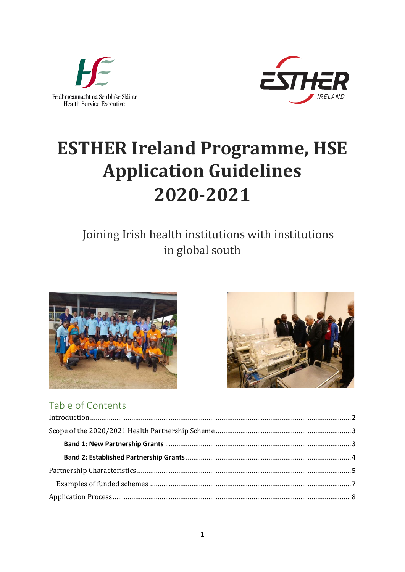



# **ESTHER Ireland Programme, HSE Application Guidelines** 2020-2021

# Joining Irish health institutions with institutions in global south





#### Table of Contents  $\mathbf{r}$  .  $\mathbf{r}$  .  $\mathbf{r}$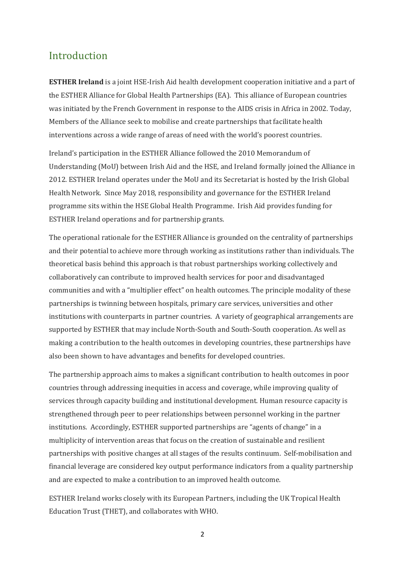### <span id="page-1-0"></span>Introduction

**ESTHER Ireland** is a joint HSE-Irish Aid health development cooperation initiative and a part of the ESTHER Alliance for Global Health Partnerships (EA). This alliance of European countries was initiated by the French Government in response to the AIDS crisis in Africa in 2002. Today, Members of the Alliance seek to mobilise and create partnerships that facilitate health interventions across a wide range of areas of need with the world's poorest countries.

Ireland's participation in the ESTHER Alliance followed the 2010 Memorandum of Understanding (MoU) between Irish Aid and the HSE, and Ireland formally joined the Alliance in 2012. ESTHER Ireland operates under the MoU and its Secretariat is hosted by the Irish Global Health Network. Since May 2018, responsibility and governance for the ESTHER Ireland programme sits within the HSE Global Health Programme. Irish Aid provides funding for ESTHER Ireland operations and for partnership grants.

The operational rationale for the ESTHER Alliance is grounded on the centrality of partnerships and their potential to achieve more through working as institutions rather than individuals. The theoretical basis behind this approach is that robust partnerships working collectively and collaboratively can contribute to improved health services for poor and disadvantaged communities and with a "multiplier effect" on health outcomes. The principle modality of these partnerships is twinning between hospitals, primary care services, universities and other institutions with counterparts in partner countries. A variety of geographical arrangements are supported by ESTHER that may include North-South and South-South cooperation. As well as making a contribution to the health outcomes in developing countries, these partnerships have also been shown to have advantages and benefits for developed countries.

The partnership approach aims to makes a significant contribution to health outcomes in poor countries through addressing inequities in access and coverage, while improving quality of services through capacity building and institutional development. Human resource capacity is strengthened through peer to peer relationships between personnel working in the partner institutions. Accordingly, ESTHER supported partnerships are "agents of change" in a multiplicity of intervention areas that focus on the creation of sustainable and resilient partnerships with positive changes at all stages of the results continuum. Self-mobilisation and financial leverage are considered key output performance indicators from a quality partnership and are expected to make a contribution to an improved health outcome.

ESTHER Ireland works closely with its European Partners, including the UK Tropical Health Education Trust (THET), and collaborates with WHO.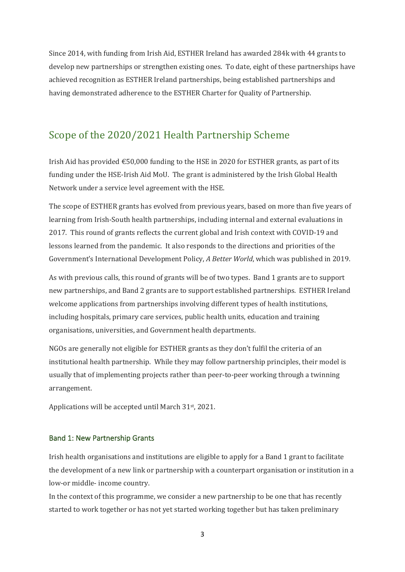Since 2014, with funding from Irish Aid, ESTHER Ireland has awarded 284k with 44 grants to develop new partnerships or strengthen existing ones. To date, eight of these partnerships have achieved recognition as ESTHER Ireland partnerships, being established partnerships and having demonstrated adherence to the ESTHER Charter for Quality of Partnership.

### <span id="page-2-0"></span>Scope of the 2020/2021 Health Partnership Scheme

Irish Aid has provided  $\epsilon$ 50,000 funding to the HSE in 2020 for ESTHER grants, as part of its funding under the HSE-Irish Aid MoU. The grant is administered by the Irish Global Health Network under a service level agreement with the HSE.

The scope of ESTHER grants has evolved from previous years, based on more than five years of learning from Irish-South health partnerships, including internal and external evaluations in 2017. This round of grants reflects the current global and Irish context with COVID-19 and lessons learned from the pandemic. It also responds to the directions and priorities of the Government's International Development Policy, *A Better World*, which was published in 2019.

As with previous calls, this round of grants will be of two types. Band 1 grants are to support new partnerships, and Band 2 grants are to support established partnerships. ESTHER Ireland welcome applications from partnerships involving different types of health institutions, including hospitals, primary care services, public health units, education and training organisations, universities, and Government health departments.

NGOs are generally not eligible for ESTHER grants as they don't fulfil the criteria of an institutional health partnership. While they may follow partnership principles, their model is usually that of implementing projects rather than peer-to-peer working through a twinning arrangement.

Applications will be accepted until March 31st , 2021.

### <span id="page-2-1"></span>Band 1: New Partnership Grants

Irish health organisations and institutions are eligible to apply for a Band 1 grant to facilitate the development of a new link or partnership with a counterpart organisation or institution in a low-or middle- income country.

In the context of this programme, we consider a new partnership to be one that has recently started to work together or has not yet started working together but has taken preliminary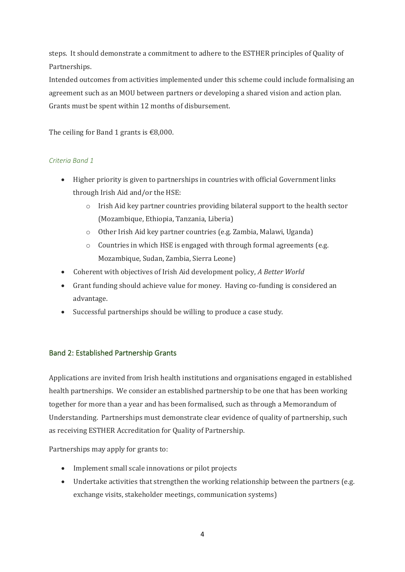steps. It should demonstrate a commitment to adhere to the ESTHER principles of Quality of Partnerships.

Intended outcomes from activities implemented under this scheme could include formalising an agreement such as an MOU between partners or developing a shared vision and action plan. Grants must be spent within 12 months of disbursement.

The ceiling for Band 1 grants is  $€8,000$ .

### *Criteria Band 1*

- Higher priority is given to partnerships in countries with official Government links through Irish Aid and/or the HSE:
	- $\circ$  Irish Aid key partner countries providing bilateral support to the health sector (Mozambique, Ethiopia, Tanzania, Liberia)
	- o Other Irish Aid key partner countries (e.g. Zambia, Malawi, Uganda)
	- o Countries in which HSE is engaged with through formal agreements (e.g. Mozambique, Sudan, Zambia, Sierra Leone)
- Coherent with objectives of Irish Aid development policy, *A Better World*
- Grant funding should achieve value for money. Having co-funding is considered an advantage.
- Successful partnerships should be willing to produce a case study.

### <span id="page-3-0"></span>Band 2: Established Partnership Grants

Applications are invited from Irish health institutions and organisations engaged in established health partnerships. We consider an established partnership to be one that has been working together for more than a year and has been formalised, such as through a Memorandum of Understanding. Partnerships must demonstrate clear evidence of quality of partnership, such as receiving ESTHER Accreditation for Quality of Partnership.

Partnerships may apply for grants to:

- Implement small scale innovations or pilot projects
- Undertake activities that strengthen the working relationship between the partners (e.g. exchange visits, stakeholder meetings, communication systems)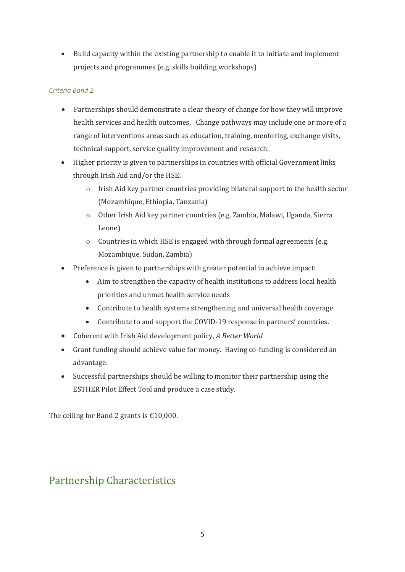• Build capacity within the existing partnership to enable it to initiate and implement projects and programmes (e.g. skills building workshops)

### *Criteria Band 2*

- Partnerships should demonstrate a clear theory of change for how they will improve health services and health outcomes. Change pathways may include one or more of a range of interventions areas such as education, training, mentoring, exchange visits, technical support, service quality improvement and research.
- Higher priority is given to partnerships in countries with official Government links through Irish Aid and/or the HSE:
	- $\circ$  Irish Aid key partner countries providing bilateral support to the health sector (Mozambique, Ethiopia, Tanzania)
	- o Other Irish Aid key partner countries (e.g. Zambia, Malawi, Uganda, Sierra Leone)
	- o Countries in which HSE is engaged with through formal agreements (e.g. Mozambique, Sudan, Zambia)
- Preference is given to partnerships with greater potential to achieve impact:
	- Aim to strengthen the capacity of health institutions to address local health priorities and unmet health service needs
	- Contribute to health systems strengthening and universal health coverage
	- Contribute to and support the COVID-19 response in partners' countries.
- Coherent with Irish Aid development policy, *A Better World*
- Grant funding should achieve value for money. Having co-funding is considered an advantage.
- Successful partnerships should be willing to monitor their partnership using the ESTHER Pilot Effect Tool and produce a case study.

<span id="page-4-0"></span>The ceiling for Band 2 grants is  $\text{\textsterling}10,000$ .

# Partnership Characteristics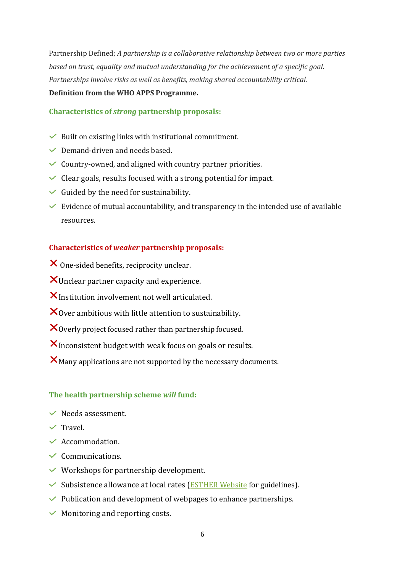Partnership Defined; *A partnership is a collaborative relationship between two or more parties based on trust, equality and mutual understanding for the achievement of a specific goal. Partnerships involve risks as well as benefits, making shared accountability critical.* 

### **Definition from the WHO APPS Programme.**

### **Characteristics of** *strong* **partnership proposals:**

- $\vee$  Built on existing links with institutional commitment.
- $\vee$  Demand-driven and needs based.
- $\checkmark$  Country-owned, and aligned with country partner priorities.
- Clear goals, results focused with a strong potential for impact.
- $\checkmark$  Guided by the need for sustainability.
- $\checkmark$  Evidence of mutual accountability, and transparency in the intended use of available resources.

### **Characteristics of** *weaker* **partnership proposals:**

- X One-sided benefits, reciprocity unclear.
- $\mathsf{X}_\text{Unclear}$  partner capacity and experience.
- $X$ Institution involvement not well articulated.
- $\mathsf{X}_{\text{Over}}$  ambitious with little attention to sustainability.
- $\mathsf{X}_0$  overly project focused rather than partnership focused.
- $X$  Inconsistent budget with weak focus on goals or results.
- $\mathsf{X}_{\text{Many applications are not supported by the necessary documents.}$

### **The health partnership scheme** *will* **fund:**

- $\vee$  Needs assessment.
- $\checkmark$  Travel.
- $\checkmark$  Accommodation.
- $\checkmark$  Communications.
- $\vee$  Workshops for partnership development.
- $\checkmark$  Subsistence allowance at local rates ([ESTHER Website](https://www.esther.ie/wp-content/uploads/2020/11/5th-ESTHER-Partnership-Forum_Programme_final.docx) for guidelines).
- $\vee$  Publication and development of webpages to enhance partnerships.
- $\vee$  Monitoring and reporting costs.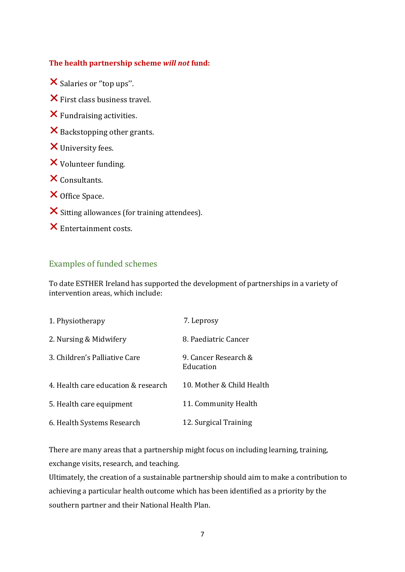### **The health partnership scheme** *will not* **fund:**

X Salaries or "top ups".

 $\times$  First class business travel.

- Fundraising activities.
- X Backstopping other grants.
- University fees.
- Volunteer funding.
- $\times$  Consultants.
- X Office Space.
- $\boldsymbol{\times}$  Sitting allowances (for training attendees).
- Entertainment costs.

### <span id="page-6-0"></span>Examples of funded schemes

To date ESTHER Ireland has supported the development of partnerships in a variety of intervention areas, which include:

| 1. Physiotherapy                    | 7. Leprosy                        |
|-------------------------------------|-----------------------------------|
| 2. Nursing & Midwifery              | 8. Paediatric Cancer              |
| 3. Children's Palliative Care       | 9. Cancer Research &<br>Education |
| 4. Health care education & research | 10. Mother & Child Health         |
| 5. Health care equipment            | 11. Community Health              |
| 6. Health Systems Research          | 12. Surgical Training             |

There are many areas that a partnership might focus on including learning, training, exchange visits, research, and teaching.

Ultimately, the creation of a sustainable partnership should aim to make a contribution to achieving a particular health outcome which has been identified as a priority by the southern partner and their National Health Plan.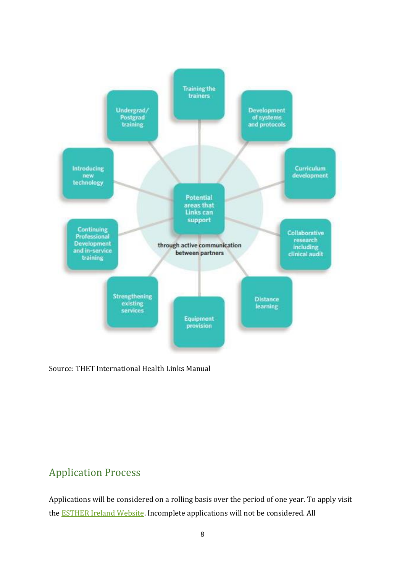

Source: THET International Health Links Manual

## <span id="page-7-0"></span>Application Process

Applications will be considered on a rolling basis over the period of one year. To apply visit the **ESTHER Ireland Website**. Incomplete applications will not be considered. All